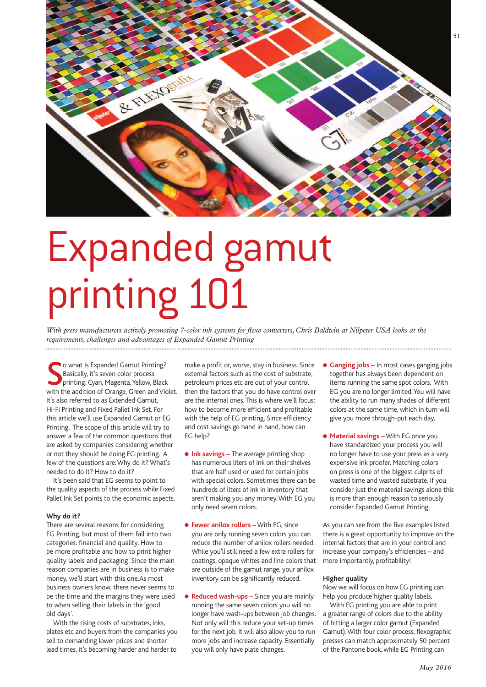

# Expanded gamut printing 101

*With press manufacturers actively promoting 7-color ink systems for flexo converters, Chris Baldwin at Nilpeter USA looks at the requirements, challenges and advantages of Expanded Gamut Printing*

**S** o what is Expanded Gamut Printing?<br>
Basically, it's seven color process<br>
printing: Cyan, Magenta, Yellow, Black<br>
with the addition of Orange, Green and Violet. o what is Expanded Gamut Printing? Basically, it's seven color process printing: Cyan, Magenta, Yellow, Black It's also referred to as Extended Gamut, Hi-Fi Printing and Fixed Pallet Ink Set. For this article we'll use Expanded Gamut or EG Printing. The scope of this article will try to answer a few of the common questions that are asked by companies considering whether or not they should be doing EG printing. A few of the questions are: Why do it? What's needed to do it? How to do it?

It's been said that EG seems to point to the quality aspects of the process while Fixed Pallet Ink Set points to the economic aspects.

# **Why do it?**

There are several reasons for considering EG Printing, but most of them fall into two categories: financial and quality. How to be more profitable and how to print higher quality labels and packaging. Since the main reason companies are in business is to make money, we'll start with this one.As most business owners know, there never seems to be the time and the margins they were used to when selling their labels in the 'good old days'.

With the rising costs of substrates, inks, plates etc and buyers from the companies you sell to demanding lower prices and shorter lead times, it's becoming harder and harder to

make a profit or, worse, stay in business. Since external factors such as the cost of substrate, petroleum prices etc are out of your control then the factors that you do have control over are the internal ones. This is where we'll focus: how to become more efficient and profitable with the help of EG printing. Since efficiency and cost savings go hand in hand, how can EG help?

- **.** Ink savings The average printing shop has numerous liters of ink on their shelves that are half used or used for certain jobs with special colors. Sometimes there can be hundreds of liters of ink in inventory that aren't making you any money. With EG you only need seven colors.
- **Fewer anilox rollers** With EG, since you are only running seven colors you can reduce the number of anilox rollers needed. While you'll still need a few extra rollers for coatings, opaque whites and line colors that are outside of the gamut range, your anilox inventory can be significantly reduced.
- **Reduced wash-ups** Since you are mainly running the same seven colors you will no longer have wash-ups between job changes. Not only will this reduce your set-up times for the next job, it will also allow you to run more jobs and increase capacity. Essentially you will only have plate changes.
- **Ganging jobs –** In most cases ganging jobs together has always been dependent on items running the same spot colors. With EG you are no longer limited. You will have the ability to run many shades of different colors at the same time, which in turn will give you more through-put each day.
- **Material savings** With EG once you have standardized your process you will no longer have to use your press as a very expensive ink proofer. Matching colors on press is one of the biggest culprits of wasted time and wasted substrate. If you consider just the material savings alone this is more than enough reason to seriously consider Expanded Gamut Printing.

As you can see from the five examples listed there is a great opportunity to improve on the internal factors that are in your control and increase your company's efficiencies – and more importantly, profitability!

## **Higher quality**

Now we will focus on how EG printing can help you produce higher quality labels.

With EG printing you are able to print a greater range of colors due to the ability of hitting a larger color gamut (Expanded Gamut). With four color process, flexographic presses can match approximately 50 percent of the Pantone book, while EG Printing can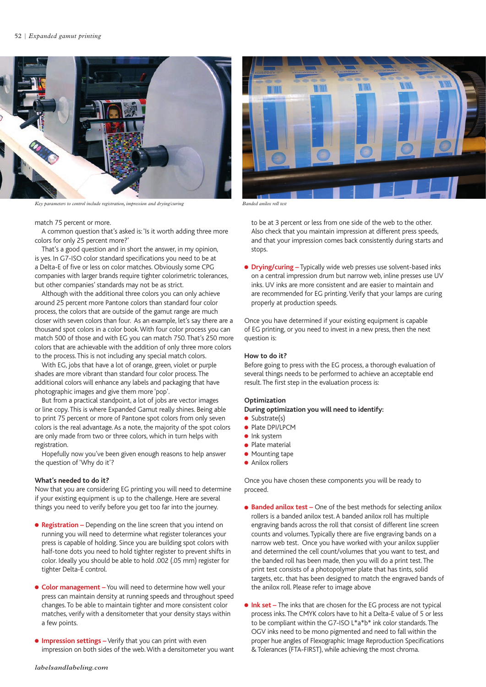

*Key parameters to control include registration, impression and drying/curing Banded anilox roll test*

# match 75 percent or more.

A common question that's asked is: 'Is it worth adding three more colors for only 25 percent more?'

That's a good question and in short the answer, in my opinion, is yes. In G7-ISO color standard specifications you need to be at a Delta-E of five or less on color matches. Obviously some CPG companies with larger brands require tighter colorimetric tolerances, but other companies' standards may not be as strict.

Although with the additional three colors you can only achieve around 25 percent more Pantone colors than standard four color process, the colors that are outside of the gamut range are much closer with seven colors than four. As an example, let's say there are a thousand spot colors in a color book. With four color process you can match 500 of those and with EG you can match 750. That's 250 more colors that are achievable with the addition of only three more colors to the process. This is not including any special match colors.

With EG, jobs that have a lot of orange, green, violet or purple shades are more vibrant than standard four color process. The additional colors will enhance any labels and packaging that have photographic images and give them more 'pop'.

But from a practical standpoint, a lot of jobs are vector images or line copy. This is where Expanded Gamut really shines. Being able to print 75 percent or more of Pantone spot colors from only seven colors is the real advantage. As a note, the majority of the spot colors are only made from two or three colors, which in turn helps with registration.

Hopefully now you've been given enough reasons to help answer the question of 'Why do it'?

#### **What's needed to do it?**

Now that you are considering EG printing you will need to determine if your existing equipment is up to the challenge. Here are several things you need to verify before you get too far into the journey.

- **e** Registration Depending on the line screen that you intend on running you will need to determine what register tolerances your press is capable of holding. Since you are building spot colors with half-tone dots you need to hold tighter register to prevent shifts in color. Ideally you should be able to hold .002 (.05 mm) register for tighter Delta-E control.
- **Color management** You will need to determine how well your press can maintain density at running speeds and throughout speed changes. To be able to maintain tighter and more consistent color matches, verify with a densitometer that your density stays within a few points.
- **.** Impression settings Verify that you can print with even impression on both sides of the web. With a densitometer you want



to be at 3 percent or less from one side of the web to the other. Also check that you maintain impression at different press speeds, and that your impression comes back consistently during starts and stops.

**• Drying/curing** – Typically wide web presses use solvent-based inks on a central impression drum but narrow web, inline presses use UV inks. UV inks are more consistent and are easier to maintain and are recommended for EG printing. Verify that your lamps are curing properly at production speeds.

Once you have determined if your existing equipment is capable of EG printing, or you need to invest in a new press, then the next question is:

# **How to do it?**

Before going to press with the EG process, a thorough evaluation of several things needs to be performed to achieve an acceptable end result. The first step in the evaluation process is:

# **Optimization**

**During optimization you will need to identify:**

- $\bullet$  Substrate(s)
- Plate DPI/LPCM
- $\bullet$  lnk system  $\bullet$  Plate material
- $\bullet$  Mounting tape
- $\bullet$  Anilox rollers
- 

Once you have chosen these components you will be ready to proceed.

- **e** Banded anilox test One of the best methods for selecting anilox rollers is a banded anilox test. A banded anilox roll has multiple engraving bands across the roll that consist of different line screen counts and volumes. Typically there are five engraving bands on a narrow web test. Once you have worked with your anilox supplier and determined the cell count/volumes that you want to test, and the banded roll has been made, then you will do a print test. The print test consists of a photopolymer plate that has tints, solid targets, etc. that has been designed to match the engraved bands of the anilox roll. Please refer to image above
- **.** Ink set The inks that are chosen for the EG process are not typical process inks. The CMYK colors have to hit a Delta-E value of 5 or less to be compliant within the G7-ISO L\*a\*b\* ink color standards. The OGV inks need to be mono pigmented and need to fall within the proper hue angles of Flexographic Image Reproduction Specifications & Tolerances (FTA-FIRST), while achieving the most chroma.